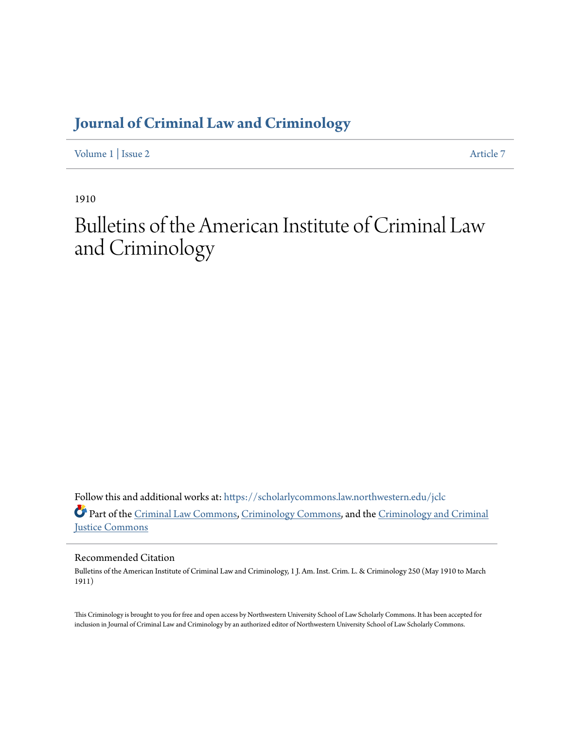# **[Journal of Criminal Law and Criminology](https://scholarlycommons.law.northwestern.edu/jclc?utm_source=scholarlycommons.law.northwestern.edu%2Fjclc%2Fvol1%2Fiss2%2F7&utm_medium=PDF&utm_campaign=PDFCoverPages)**

[Volume 1](https://scholarlycommons.law.northwestern.edu/jclc/vol1?utm_source=scholarlycommons.law.northwestern.edu%2Fjclc%2Fvol1%2Fiss2%2F7&utm_medium=PDF&utm_campaign=PDFCoverPages) | [Issue 2](https://scholarlycommons.law.northwestern.edu/jclc/vol1/iss2?utm_source=scholarlycommons.law.northwestern.edu%2Fjclc%2Fvol1%2Fiss2%2F7&utm_medium=PDF&utm_campaign=PDFCoverPages) [Article 7](https://scholarlycommons.law.northwestern.edu/jclc/vol1/iss2/7?utm_source=scholarlycommons.law.northwestern.edu%2Fjclc%2Fvol1%2Fiss2%2F7&utm_medium=PDF&utm_campaign=PDFCoverPages)

1910

# Bulletins of the American Institute of Criminal Law and Criminology

Follow this and additional works at: [https://scholarlycommons.law.northwestern.edu/jclc](https://scholarlycommons.law.northwestern.edu/jclc?utm_source=scholarlycommons.law.northwestern.edu%2Fjclc%2Fvol1%2Fiss2%2F7&utm_medium=PDF&utm_campaign=PDFCoverPages) Part of the [Criminal Law Commons](http://network.bepress.com/hgg/discipline/912?utm_source=scholarlycommons.law.northwestern.edu%2Fjclc%2Fvol1%2Fiss2%2F7&utm_medium=PDF&utm_campaign=PDFCoverPages), [Criminology Commons](http://network.bepress.com/hgg/discipline/417?utm_source=scholarlycommons.law.northwestern.edu%2Fjclc%2Fvol1%2Fiss2%2F7&utm_medium=PDF&utm_campaign=PDFCoverPages), and the [Criminology and Criminal](http://network.bepress.com/hgg/discipline/367?utm_source=scholarlycommons.law.northwestern.edu%2Fjclc%2Fvol1%2Fiss2%2F7&utm_medium=PDF&utm_campaign=PDFCoverPages) [Justice Commons](http://network.bepress.com/hgg/discipline/367?utm_source=scholarlycommons.law.northwestern.edu%2Fjclc%2Fvol1%2Fiss2%2F7&utm_medium=PDF&utm_campaign=PDFCoverPages)

Recommended Citation

Bulletins of the American Institute of Criminal Law and Criminology, 1 J. Am. Inst. Crim. L. & Criminology 250 (May 1910 to March 1911)

This Criminology is brought to you for free and open access by Northwestern University School of Law Scholarly Commons. It has been accepted for inclusion in Journal of Criminal Law and Criminology by an authorized editor of Northwestern University School of Law Scholarly Commons.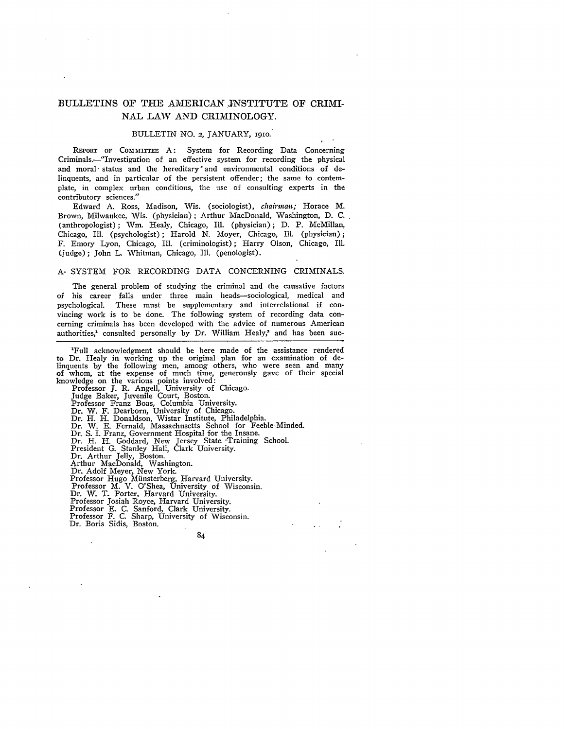# BULLETINS OF THE AMERICAN INSTITUTE OF CRIMI-NAL LAW AND CRIMINOLOGY.

# BULLETIN NO. 2, JANUARY, I9io.

REPORT OF COMMITTEE A: System for Recording Data Concerning Criminals.-"Investigation of an effective system for recording the physical and moral status and the hereditary and environmental conditions of delinquents, and in particular of the persistent offender; the same to contemplate, in complex urban conditions, the use of consulting experts in the contributory sciences."

Edward A. Ross, Madison, Wis. (sociologist), *chairman;* Horace M. Brown, Milwaukee, Wis. (physician); Arthur MacDonald, Washington, D. C. (anthropologist); Wm. Healy, Chicago, Ill. (physician); D. P. McMillan, Chicago, Ill. (psychologist) ; Harold N. Moyer, Chicago, Ill. (physician); F. Emory Lyon, Chicago, Ill. (criminologist); Harry Olson, Chicago, Ill. (judge); John L. Whitman, Chicago, Ill. (penologist).

# **A-** SYSTEM FOR RECORDING DATA CONCERNING CRIMINALS.

The general problem of studying the criminal and the causative factors of his career falls under three main heads-sociological, medical and psychological. These must be supplementary and interrelational if convincing work is to be done. The following system of recording data concerning criminals has been developed with the advice of numerous American authorities,<sup>1</sup> consulted personally by Dr. William Healy,<sup>2</sup> and has been suc-

'Full acknowledgment should be here made of the assistance rendered to Dr. Healy in working up the original plan for an examination of **de**linquents by the following men, among others, who were seen and many of whom, at the expense of much time, generously gave of their special knowledge on the various points involved:

Professor J. R. Angell, University of Chicago. Judge Baker, Juvenile Court, Boston. Professor Franz Boas, Columbia University. Dr. W. F. Dearborn, University of Chicago. Dr. H. H. Donaldson, Wistar Institute, Philadelphia. Dr. W. E. Fernald, Massachusetts School for Feeble-Minded. Dr. S. I. Franz, Government Hospital for the Insane. Dr. H. H. Goddard, New Jersey State 'Training School. President G. Stanley Hall, Clark University. Dr. Arthur Jelly, Boston. Arthur MacDonald, Washington. Dr. Adolf Meyer, New York. Professor Hugo Miinsterberg, Harvard University. Professor M. V. O'Shea, University of Wisconsin. Dr. W. T. Porter, Harvard University. Professor Josiah Royce, Harvard University. Professor E. C. Sanford, Clark University. Professor F. C. Sharp, University of Wisconsin. Dr. Boris Sidis, Boston.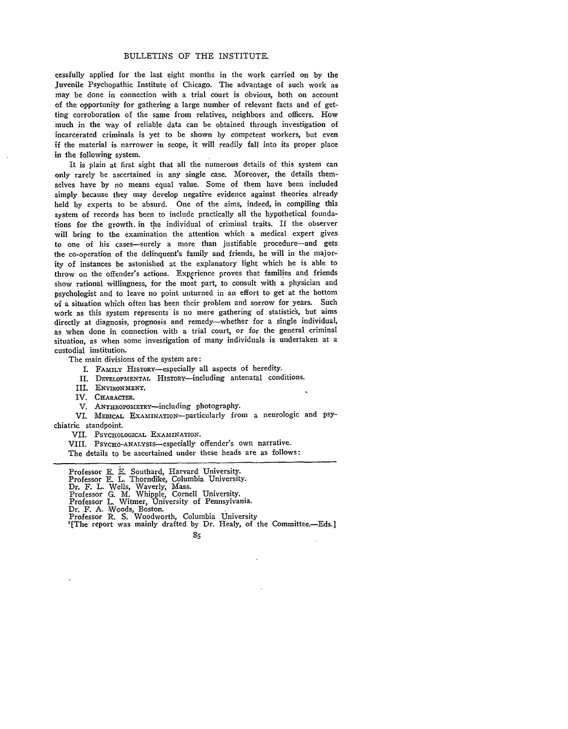cessfully applied for the last eight months in the work carried on by the Juvenile Psychopathic Institute of Chicago. The advantage of such work as may be done in connection with a trial court is obvious, both on account of the opportunity for gathering a large number of relevant facts and of getting corroboration of the same from relatives, neighbors and officers. How much in the way of reliable data can be obtained through investigation of incarcerated criminals is yet to be shown by competent workers, but even if the material is narrower in scope, it will readily fall into its proper place in the following system.

It is plain at first sight that all the numerous details of this system can only rarely be ascertained in any single case. Moreover, the details themselves have by no means equal value. Some of them have been included simply because they may develop negative evidence against theories already held by experts to be absurd. One of the aims, indeed, in compiling this system of records has been to include practically all the hypothetical foundations for the growth, in the individual of criminal traits. If the observer will bring to the examination the attention which a medical expert gives to one of his cases-surely a more than justifiable procedure-and gets the co-operation of the delinquent's family and friends, he will in the majority of instances be astonished at the explanatory light which he is able to throw on the offender's actions. Experience proves that families and friends show rational willingness, for the most part, to consult with a physician and psychologist and to leave no point unturned in an effort to get at the bottom of a situation which often has been their problem and sorrow for years. Such work as this system represents is no mere gathering of statistic's, but aims directly at diagnosis, prognosis and remedy-whether for a single individual, as when done in connection with a trial court, or for the general criminal situation, as when some investigation of many individuals is undertaken at a custodial institution.

The main divisions of the system are:

- I. FAMILY HisToRY-especially all aspects of heredity.
- II. DEvELOPMENTAL HisToRY-including antenatal conditions.
- III. ENViRONmENT.
- IV. CHARACTER.
- V. ANTHROPOMETRY-including photography.

VI. MEDICAL EXAMINATIoN-particularly from a neurologic and psychiatric standpoint.

VII. PSYCHOLOGICAL EXAMINATION.

VIII. PsvcHo-ANALYSIS-especially offender's own narrative.

The details to be ascertained under these heads are as follows:

Professor E. E. Southard, Harvard University.

Professor E. L. Thorndike, Columbia University.

Dr. F. L. Wells, Waverly, Mass. Professor G. M. Whipple, Cornell University. Professor L. Witmer, University of Pennsylvania.

Dr. F. **A.** Woods, Boston. Professor R. S. Woodworth, Columbia University

<sup>2</sup>[The report was mainly drafted by Dr. Healy, of the Committee.-Eds.]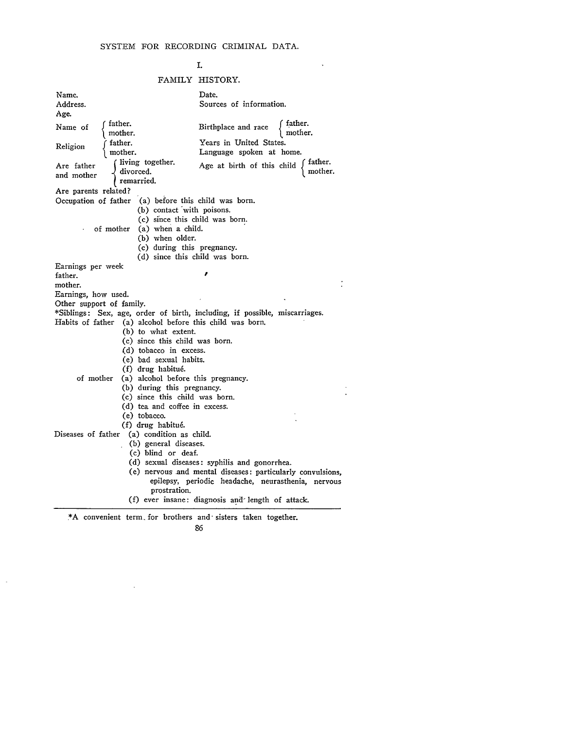$\mathcal{L}^{\text{max}}_{\text{max}}$ 

|                                                                                                                                                                           | FAMILY HISTORY.                                                                         |  |
|---------------------------------------------------------------------------------------------------------------------------------------------------------------------------|-----------------------------------------------------------------------------------------|--|
| Name.<br>Address.                                                                                                                                                         | Date.<br>Sources of information.                                                        |  |
| Age.                                                                                                                                                                      | Birthplace and race $\begin{cases} \text{father.} \\ \text{mother.} \end{cases}$        |  |
| Name of $\left\{\n\begin{array}{c}\n\text{father.}\n\text{mother.}\n\end{array}\n\right.\n\left.\n\begin{array}{c}\n\text{father.}\n\text{mother.}\n\end{array}\n\right.$ | Years in United States.<br>Language spoken at home.                                     |  |
| Are father and mother and mother and method.                                                                                                                              | Age at birth of this child $\begin{cases} \text{father.} \\ \text{mother.} \end{cases}$ |  |
| Are parents related?                                                                                                                                                      |                                                                                         |  |
| Occupation of father (a) before this child was born.<br>(b) contact with poisons.<br>(c) since this child was born.                                                       |                                                                                         |  |
| of mother (a) when a child.<br>(b) when older.<br>(c) during this pregnancy.                                                                                              |                                                                                         |  |
| (d) since this child was born.                                                                                                                                            |                                                                                         |  |
| Earnings per week                                                                                                                                                         |                                                                                         |  |
| father.                                                                                                                                                                   |                                                                                         |  |
| mother.                                                                                                                                                                   |                                                                                         |  |
| Earnings, how used.                                                                                                                                                       |                                                                                         |  |
| Other support of family.                                                                                                                                                  |                                                                                         |  |
|                                                                                                                                                                           |                                                                                         |  |
| *Siblings: Sex, age, order of birth, including, if possible, miscarriages.<br>Habits of father (a) alcohol before this child was born.                                    |                                                                                         |  |
|                                                                                                                                                                           |                                                                                         |  |
| (b) to what extent.                                                                                                                                                       |                                                                                         |  |
| (c) since this child was born.                                                                                                                                            |                                                                                         |  |
| (d) tobacco in excess.                                                                                                                                                    |                                                                                         |  |
| (e) bad sexual habits.                                                                                                                                                    |                                                                                         |  |
| (f) drug habitué.                                                                                                                                                         |                                                                                         |  |
| of mother (a) alcohol before this pregnancy.                                                                                                                              |                                                                                         |  |
| (b) during this pregnancy.                                                                                                                                                |                                                                                         |  |
| (c) since this child was born.                                                                                                                                            |                                                                                         |  |
| (d) tea and coffee in excess.                                                                                                                                             |                                                                                         |  |
| (e) tobacco.                                                                                                                                                              |                                                                                         |  |
| (f) drug habitué.                                                                                                                                                         |                                                                                         |  |
| Diseases of father (a) condition as child.                                                                                                                                |                                                                                         |  |
| (b) general diseases.                                                                                                                                                     |                                                                                         |  |
| (c) blind or deaf.                                                                                                                                                        |                                                                                         |  |
| (d) sexual diseases: syphilis and gonorrhea.                                                                                                                              |                                                                                         |  |
| (e) nervous and mental diseases: particularly convulsions,                                                                                                                |                                                                                         |  |
| epilepsy, periodic headache, neurasthenia, nervous                                                                                                                        |                                                                                         |  |
| prostration.                                                                                                                                                              |                                                                                         |  |
|                                                                                                                                                                           | (f) ever insane: diagnosis and length of attack.                                        |  |
| *A convenient term for brothers and sisters taken together.<br>86                                                                                                         |                                                                                         |  |

 $\mathcal{A}^{\mathcal{A}}$  .

 $\sim$   $\sim$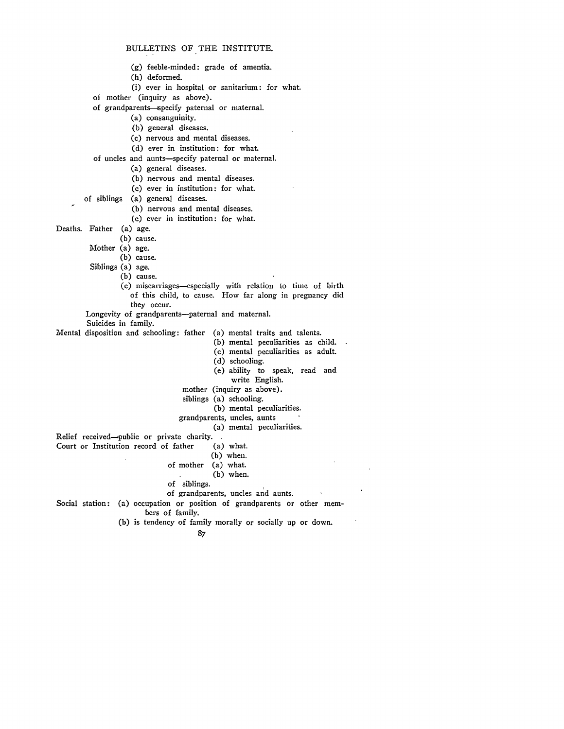(g) feeble-minded: grade of amentia.

(h) deformed.

(i) ever in hospital or sanitarium: for what.

of mother (inquiry as above).

- of grandparents-specify paternal or maternal.
	- (a) consanguinity.
	- (b) general diseases.
	- (c) nervous and mental diseases.
	- **(d)** ever in institution: for what.
- of uncles and aunts-specify paternal or maternal.
	- (a) general diseases.
	- (b) nervous and mental diseases.
	- (c) ever in institution: for what.

of siblings (a) general diseases.

- (b) nervous and mental diseases.
- (c) ever in institution: for what.
- Deaths. Father (a) age.
	- **(b)** cause.
	- Mother (a) age.
		- **(b)** cause.
	- Siblings (a) age.
		- **(b)** cause.
		- (c) miscarriages-especially with relation to time of birth of this child, to cause. **How** far along in pregnancy did they occur.

Longevity of grandparents-paternal and maternal.

Suicides in family.

Mental disposition and schooling: father (a) mental traits and talents.

- **(b)** mental peculiarities as child.
- (c) mental peculiarities as adult.
- **(d)** schooling.
- (e) ability to speak, read and write English.
- mother (inquiry as above).
- siblings (a) schooling.
- **(b)** mental peculiarities.
- grandparents, uncles, aunts

(a) mental peculiarities.

Relief received--public or private charity.

- Court or Institution record of father (a) what.
	- **(b)** when.
	- of mother (a) what.
		- **(b)** when.
	- of siblings.
	- of grandparents, uncles and aunts.
- Social station: (a) occupation or position of grandparents or other members of family.
	- **(b)** is tendency of family morally or socially up or down.
		- 87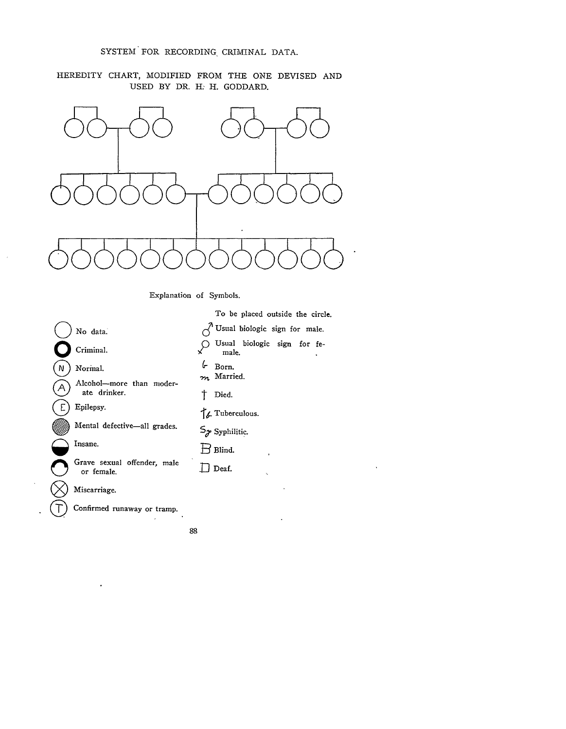# SYSTEM FOR RECORDING CRIMINAL DATA.

HEREDITY CHART, MODIFIED FROM THE ONE DEVISED AND USED BY DR. H. H. GODDARD.



Explanation of Symbols.

|                                                                                                  | To be placed outside the circle.                              |
|--------------------------------------------------------------------------------------------------|---------------------------------------------------------------|
| No data.                                                                                         | Usual biologic sign for male.                                 |
| Criminal.                                                                                        | Usual biologic sign for fe-<br>male.                          |
| Normal.<br>Alcohol-more than moder-<br>ate drinker.<br>Epilepsy.<br>Mental defective-all grades. | Born.<br>m Married.<br>Died.<br>L Tuberculous.<br>Syphilitic. |
| Insane.                                                                                          | Blind.                                                        |
| Grave sexual offender, male<br>or female.                                                        | Deaf.<br>$\checkmark$                                         |
| Miscarriage.                                                                                     |                                                               |
| Confirmed runaway or tramp.                                                                      |                                                               |
|                                                                                                  |                                                               |

 $\bar{\gamma}$ 

 $\ddot{\phantom{a}}$ 

 $\ddot{\phantom{a}}$ 

88

 $\hat{\mathbf{v}}$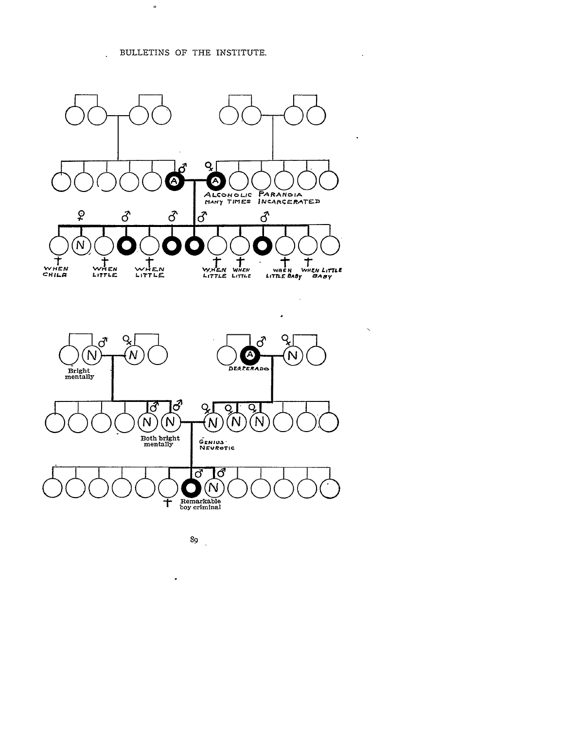$\sim$   $\sim$ 

 $\ddot{\phantom{1}}$ 

 $\circ$ 

t,





89

 $\bullet$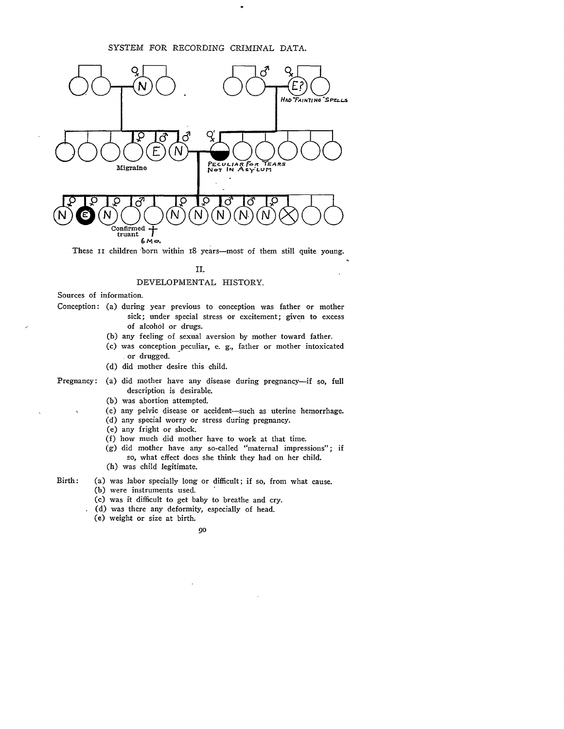

**6 ii . These II children** 'born within **i8** years-most of **them** still quite young.

#### II.

# DEVELOPMENTAL HISTORY.

Sources of information.

- Conception: (a) during year previous to conception was father or mother sick; under special stress or excitement; given to excess of alcohol or drugs.
	- (b) any feeling of sexual aversion by mother toward father.
	- (c) was conception peculiar, e. g., father or mother intoxicated or drugged.
	- (d) did mother desire this child.
- Pregnancy: (a) did mother have any disease during pregnancy-if so, full description is desirable.
	- (b) was abortion attempted.
	- (c) any pelvic disease or accident-such as uterine hemorrhage.
	- (d) any special worry or stress during pregnancy.
	- (e) any fright or shock.
	- (f) how much did mother have to work at that time.
	- (g) did mother have any so-called "maternal impressions"; if so, what effect does she think they had on her child.
	- (h) was child legitimate.

- Birth: (a) was labor specially long or difficult; if so, from what cause.
	- (b) were instruments used.
	- (c) was it difficult to get baby to breathe and cry.
	- (d) was there any deformity, especially of head.
		- (e) weight or size at birth.
			- **QO**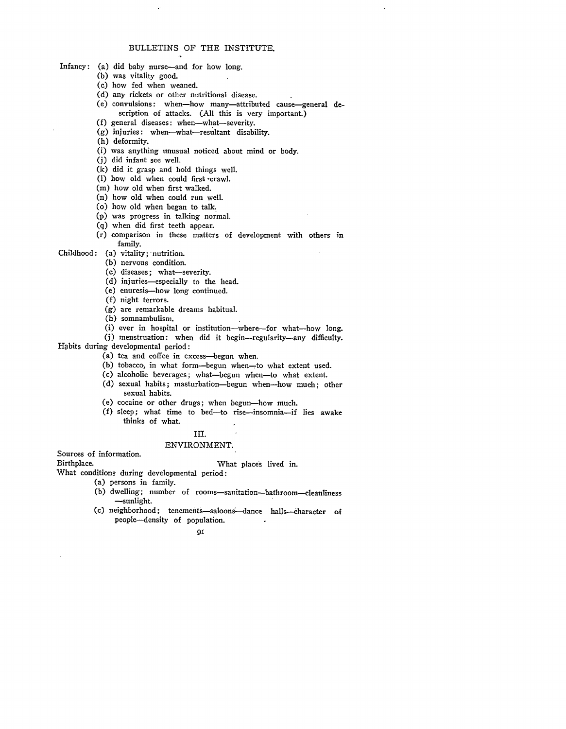Infancy: (a) did baby nurse-and for how long.

- (b) was vitality good.
- (c) how **fed** when weaned.
- **(d)** any rickets or other nutritional disease.
- (e) convulsions: when-how many-attributed cause-general description of attacks. (All this is very important.)
- (f) general diseases: when-what-severity.
- $(g)$  injuries: when-what-resultant disability.
- (h) deformity.
- (i) was anything unusual noticed about mind or body.
- **(j)** did infant see well.
- **(k)** did it grasp and hold things well.
- (1) how old when could first -crawl.
- (m) how old when first walked.
- (n) how old when could run well.
- (o) how old when began to talk.
- (p) was progress in talking normal.
- (q) when did first teeth appear.
- (r) comparison in these matters of development with others in family.
- Childhood: (a) vitality; nutrition.
	- **(b)** nervous condition.
		- (c) diseases; what-severity.
		- **(d)** injuries-especially to the head.
		- (e) enuresis-how long continued.
		- **(f)** night terrors.
		- (g) are remarkable dreams habitual.
	- (h) somnambulism.
	- (i) ever in hospital or institution-where-for what-how long.
	- **(j)** menstruation: when did it begin-regularity-any difficulty.

Habits during developmental period:

- (a) tea and coffee in excess-begun when.
- **(b)** tobacco, in what form-begun when-to what extent used.
- (c) alcoholic beverages; what-begun when-to what extent.
- **(d)** sexual habits; masturbation-begun when-how much; other sexual habits.
- (e) cocaine or other drugs; when begun-how much.
- **(f)** sleep; what time to bed-to rise-insomnia-if lies awake thinks of what.

III.

#### ENVIRONMENT.

Sources of information.

Birthplace. What places lived in.

What conditions during developmental period:

- (a) persons in family.
- (b) dwelling; number of rooms-sanitation-bathroom-cleanliness -sunlight.
- (c) neighborhood; tenements-saloons--dance halls--character of people-density of population.

#### OI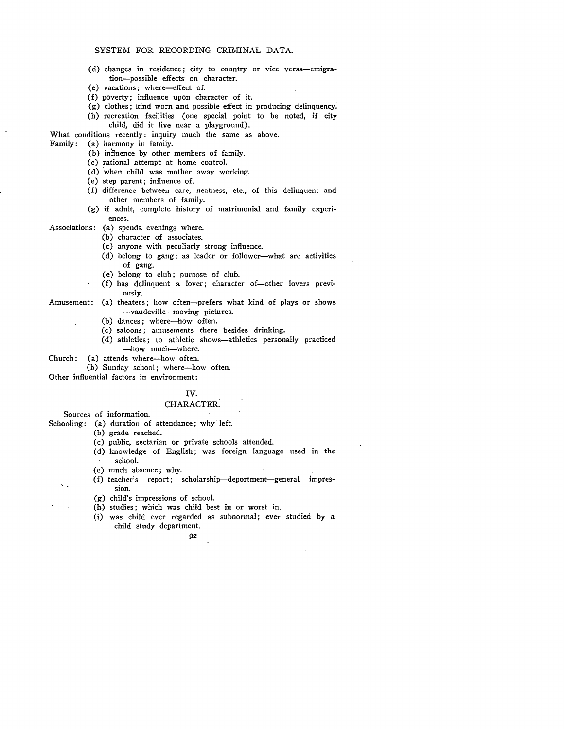# SYSTEM FOR RECORDING CRIMINAL DATA.

- **(d)** changes in residence; city to country or vice versa-emigration-possible effects on character.
- (e) vacations; where-effect of.
- (f) poverty; influence upon character of it.
- (g) clothes; kind worn and possible effect in producing delinquency.
- (h) recreation facilities (one special point to be noted, if city

child, did it live near a playground).

What conditions recently: inquiry much the same as above.<br>Family: (a) harmony in family.

- (a) harmony in family.
	- (b) influence by other members of family.
	- (c) rational attempt at home control.
	- **(d)** when child was mother away working.
	- (e) step parent; influence of.
	- **(f)** difference between care, neatness, etc., of this delinquent and other members of family.
	- (g) if adult, complete history of matrimonial and family experiences.
- Associations: (a) spends. evenings where.
	- .(b) character of associates.
	- (c) anyone with peculiarly strong influence.
	- (d) belong to gang; as leader or follower-what are activities of gang.
	- (e) belong to club; purpose of club.
	- (f) has delinquent a lover; character of-other lovers previ**ously.**
- Amusement: (a) theaters; how often-prefers what kind of plays or shows -vaudeville-moving pictures.
	- **(b)** dances; where-how often.
	- (c) saloons; amusements there besides drinking.
	- **(d)** athletics; to athletic shows-athletics personally practiced -how much-where.
- Church: (a) attends where-how often.
- **(b)** Sunday school; where-how often.

Other influential factors in environment:

#### IV.

#### CHARACTER.

Sources of information.

Schooling: (a) duration of attendance; why left.

- **(b)** grade reached.
- (c) public, sectarian or private schools attended.
- **(d)** knowledge of English; was foreign language used in the school.
- (e) much absence; why.
- **(f)** teacher's report; scholarship-deportment-general impression.
- (g) child's impressions of school.
- (h) studies; which was child best in or worst in.
- (i) was child ever regarded as subnormal; ever studied by a child study department.

 $Q<sub>2</sub>$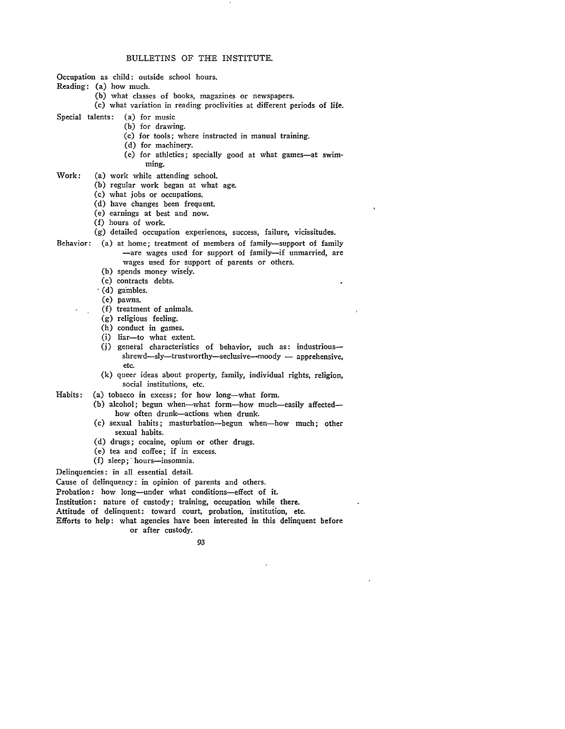- Occupation as child: outside school hours.
- Reading: (a) how much.
	- (b) what classes of books, magazines or newspapers.
	- (c) what variation in reading proclivities at different periods of life.
- Special talents: (a) for music
	- (b) for drawing.
		- (c) for tools; where instructed in manual training.
		- **(d)** for machinery.
		- (e) for athletics; specially good at what games-at swimming.
- Work: (a) work while attending school.
	- **(b)** regular work began at what age.
	- (c) what jobs or occupations.
	- **(d)** have changes been frequent.
	- (e) earnings at best and now.
	- **f)** hours of work.
	- (g) detailed occupation experiences, success, failure, vicissitudes.
- Behavior: (a) at home; treatment of members of family-support of family -are wages used for support of family-if unmarried, are wages used for support of parents or others.
	- (b) spends money wiseiy.
	- (c) contracts debts.
	- (d) gambles.
	- (e) pawns.
	- **(f)** treatment of animals.
		- (g) religious feeling.
		- (h) conduct in games.
		- (i) liar-to what extent.
		- (j) general characteristics of behavior, such as: industrious $shrewd$ -sly-trustworthy-seclusive-moody - apprehensive, etc.
		- (k) queer ideas about property, family, individual rights, religion, social institutions, etc.
- Habits: (a) tobacco in excess; for how long-what form.
	- (b) alcohol; begun when-what form-how much-easily affectedhow often drunk-actions when drunk.
	- (c) sexual habits; masturbation-begun when-how much; other sexual habits.
	- **(d)** drugs; cocaine, opium or other drugs.
	- (e) tea and coffee; if in excess.
	- (f) sleep; hours-insomnia.

Delinquencies: in all essential detail.

Cause of delinquency: in opinion of parents and others.

Probation: **how** long-under what conditions-effect of it.

Institution: nature of custody; training, occupation while there.

Attitude of delinquent: toward court, probation, institution, etc.

Efforts to help: what agencies have been interested in this delinquent before or after custody.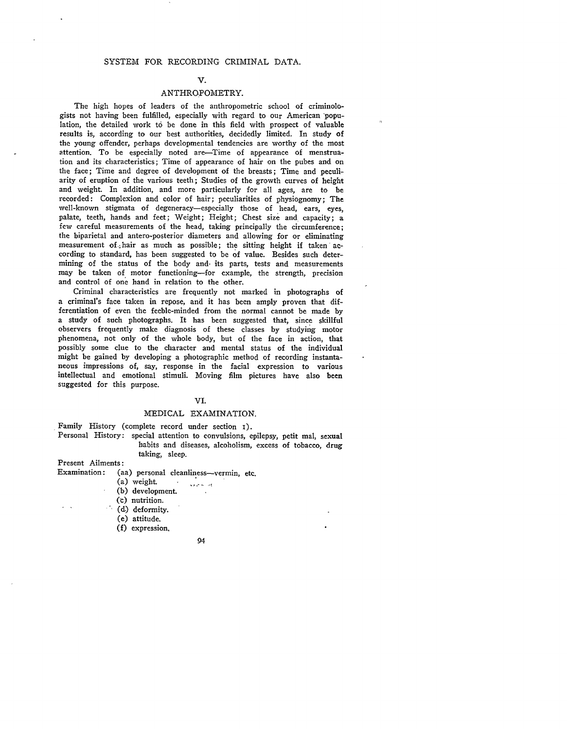# SYSTEM FOR RECORDING CRIMINAL DATA.

# **V.**

# ANTHROPOMETRY.

The high hopes of leaders of the anthropometric school of criminologists not having been fulfilled, especially with regard to our American 'population, the detailed work to be done in this field with prospect of valuable results is, according to our best authorities, decidedly limited. In study of the young offender, perhaps developmental tendencies are worthy of the most attention. To be especially noted are-Time of appearance of menstruation and its characteristics; Time of appearance of hair on the pubes and on the face; Time and degree of development of the breasts; Time and peculiarity of eruption of the various teeth; Studies of the growth curves of height and weight. In addition, and more particularly for all ages, are to be recorded: Complexion and color of hair; peculiarities of physiognomy; The well-known stigmata of degeneracy-especially those of head, ears, eyes, palate, teeth, hands and feet; Weight; Height; Chest size and capacity; a few careful measurements of the head, taking principally the circumference; the biparietal and antero-posterior diameters and allowing for or eliminating measurement of hair as much as possible; the sitting height if taken according to standard, has been suggested to be of value. Besides such determining of the status of the body and. its parts, tests and measurements may be taken of motor functioning-for example, the strength, precision and control of one hand in relation to the other.

Criminal characteristics are frequently not marked in photographs of a criminal's face taken in repose, and it has been amply proven that differentiation of even the feeble-minded from the normal cannot be made by a study of such photographs. It has been suggested that, since skillful observers frequently make diagnosis of these classes by studying motor phenomena, not only of the whole body, but of the face in action, that possibly some clue to the character and mental status of the individual might be gained by developing a photographic method of recording instantaneous impressions of, say, response in the facial expression to various intellectual and emotional stimuli. Moving film pictures have also been suggested for this purpose.

#### VI.

## MEDICAL EXAMINATION.

Family History (complete record under section i).

Personal History: special attention to convulsions, epilepsy, petit mal, sexual habits and diseases, alcoholism, excess of tobacco, drug taking, sleep.

Present Ailments:

- Examination: (aa) personal cleanliness-vermin, etc.
	- (a) weight.  $\cdots$   $\cdots$
	- (b) development.
	- (c) nutrition.
	- " (d.) deformity.
		- (e) attitude.
		- (f) expression,
			-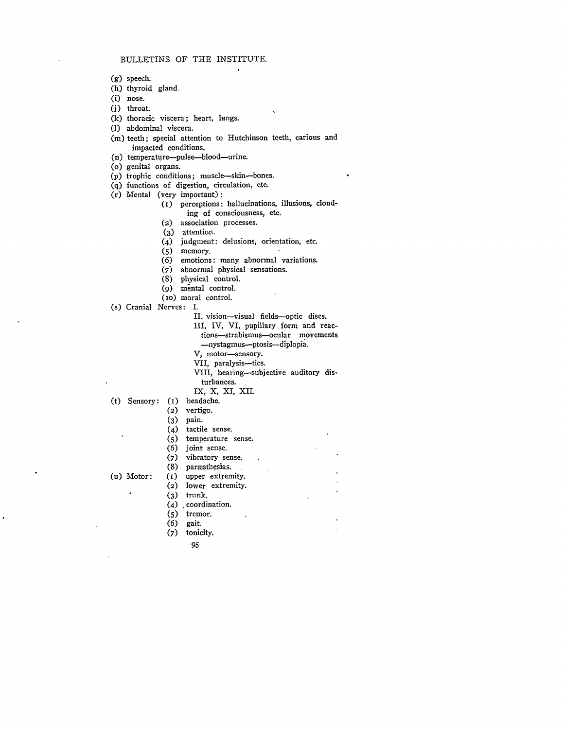**(g)** speech.

- (h) thyroid gland.
- (i) nose.
- **(j)** throat.
- (k) thoracic viscera; heart, lungs.
- **(1)** abdominal viscera.
- (m) teeth; special attention to Hutchinson teeth, carious and impacted conditions.

 $\overline{ }$ 

- (n) temperature-pulse-blood-urine.
- **(o)** genital organs.
- (p) trophic conditions; muscle-skin-bones.
- **(q)** functions of digestion, circulation, etc.
- (r) Mental (very important) **:**
	- (i) perceptions: hallucinations, illusions, clouding of consciousness, etc.
	-
	- **(2)** association processes.
	- (3) attention.
	- (4) judgment: delusions, orientation, etc.
	- **(5)** memory.
	- **(6)** emotions: many abnormal variations.
	- **(7)** abnormal physical sensations.
	- **(8)** physical control.
	- **(9)** mental control.
	- (io) moral control.
- (s) Cranial Nerves: I.
	- II. vision-visual fields-optic discs.
	- III, IV, VI, pupillary form and reactions-strabismus-ocular movements
	- -nystagmus-ptosis-diplopia.
	- V, motor-sensory.
	- VII, paralysis-tics.
	- VIII, hearing-subjective auditory disturbances.
	- IX, X, **XI,** XII.

(t) Sensory: (1) headache.

- **(2)** vertigo.
- **(3)** pain.
- (4) tactile sense.
- **(5)** temperature sense.

upper extremity.

- **(6)** joint sense.
- **(7)** vibratory sense.
- **(8)** parzesthesias.
- (u) Motor: **(I)**

 $\ddot{\phantom{0}}$ 

- **(2)** lower extremity.
	- **(3)** trunk.
		- (4) coordination.
		- **(5)** tremor.
		- **(6)** gait.
		- **(7)** tonicity.
			- **95**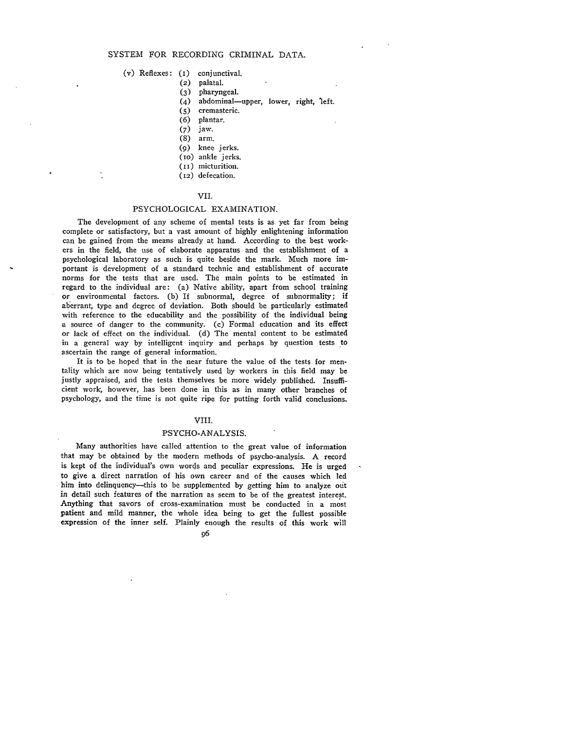**(v)** Reflexes: **(i)** conjunctival.

- (2) palatal.
- (3) pharyngeal.
- (4) abdominal-upper, lower, right, left.
- **(5)** cremasteric.
- **(6)** plantar.
- (7) jaw.
- (8) arm.
- (9) knee jerks.
- (io) ankle jerks.
- (ii) micturition.
- **(12)** defecation.

# VII.

#### PSYCHOLOGICAL EXAMINATION.

The development of any scheme of mental tests is as yet far from being complete or satisfactory, but a vast amount of highly enlightening information can be gained from the means already at hand. According to the best workers in the field, the use of elaborate apparatus and the establishment of a psychological laboratory as such is quite beside the mark. Much more important is development of a standard technic and establishment of accurate norms for the tests that are used. The main points to be estimated in regard to the individual are: (a) Native ability, apart from school training or environmental factors. (b) If subnormal, degree of subnormality; if aberrant, type and degree of deviation. Both should be particularly estimated with reference to the educability and the possibility of the individual being a source of danger to the community. (c) Formal education and its effect or lack of effect on the individual. (d) The mental content to be estimated in a general way by intelligent inquiry and perhaps by question tests to ascertain the range of general information.

It is to be hoped that in the near future the value of the tests for mentality which are now being tentatively used by workers in this field may be justly appraised, and the tests themselves be more widely published. Insufficient work, however, has been done in this as in many other branches of psychology, and the time is not quite ripe for putting forth valid conclusions.

#### VIII.

#### PSYCHO-ANALYSIS.

Many authorities have called attention to the great value of information that may be obtained by the modern methods of psycho-analysis. A record is kept of the individual's own words and peculiar expressions. He is urged to give a direct narration of his own career and of the causes which led him into delinquency-this to be supplemented by getting him to analyze out in detail such features of the narration as seem to be of the greatest interest. Anything that savors of cross-examination must be conducted in a most patient and mild manner, the whole idea being to get the fullest possible expression of the inner self. Plainly enough the results of this work will